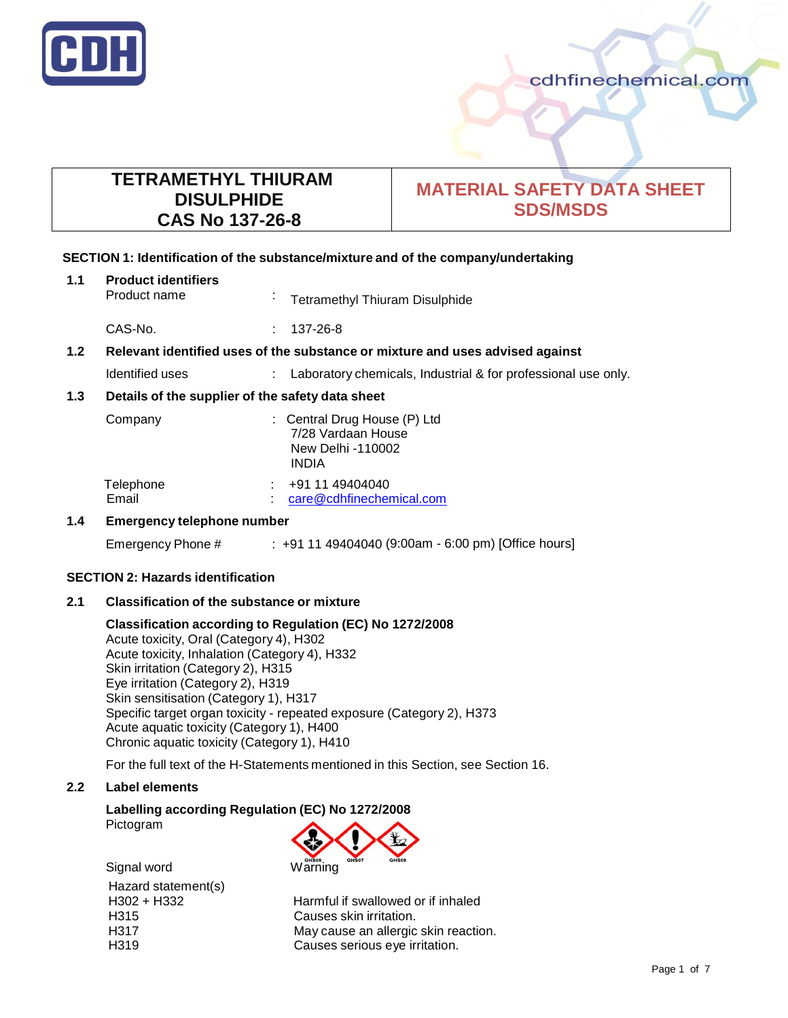

# **TETRAMETHYL THIURAM DISULPHIDE CAS No 137-26-8**

# **MATERIAL SAFETY DATA SHEET SDS/MSDS**

## **SECTION 1: Identification of the substance/mixture and of the company/undertaking**

| 1.1              | <b>Product identifiers</b><br>Product name                                    | ×, | <b>Tetramethyl Thiuram Disulphide</b>                                                   |
|------------------|-------------------------------------------------------------------------------|----|-----------------------------------------------------------------------------------------|
|                  | CAS-No.                                                                       | ÷  | 137-26-8                                                                                |
| 1.2 <sub>2</sub> | Relevant identified uses of the substance or mixture and uses advised against |    |                                                                                         |
|                  | Identified uses                                                               |    | Laboratory chemicals, Industrial & for professional use only.                           |
| 1.3              | Details of the supplier of the safety data sheet                              |    |                                                                                         |
|                  | Company                                                                       |    | : Central Drug House (P) Ltd<br>7/28 Vardaan House<br>New Delhi -110002<br><b>INDIA</b> |
|                  | Telephone<br>Email                                                            |    | +91 11 49404040<br>care@cdhfinechemical.com                                             |
| 1.4              | <b>Emergency telephone number</b>                                             |    |                                                                                         |

Emergency Phone # : +91 11 49404040 (9:00am - 6:00 pm) [Office hours]

## **SECTION 2: Hazards identification**

## **2.1 Classification of the substance or mixture**

## **Classification according to Regulation (EC) No 1272/2008**

Acute toxicity, Oral (Category 4), H302 Acute toxicity, Inhalation (Category 4), H332 Skin irritation (Category 2), H315 Eye irritation (Category 2), H319 Skin sensitisation (Category 1), H317 Specific target organ toxicity - repeated exposure (Category 2), H373 Acute aquatic toxicity (Category 1), H400 Chronic aquatic toxicity (Category 1), H410

For the full text of the H-Statements mentioned in this Section, see Section 16.

## **2.2 Label elements**

## **Labelling according Regulation (EC) No 1272/2008**

Pictogram



Signal word Warning Hazard statement(s)

H302 + H332 Harmful if swallowed or if inhaled H315 Causes skin irritation. H317 May cause an allergic skin reaction. H319 Causes serious eye irritation.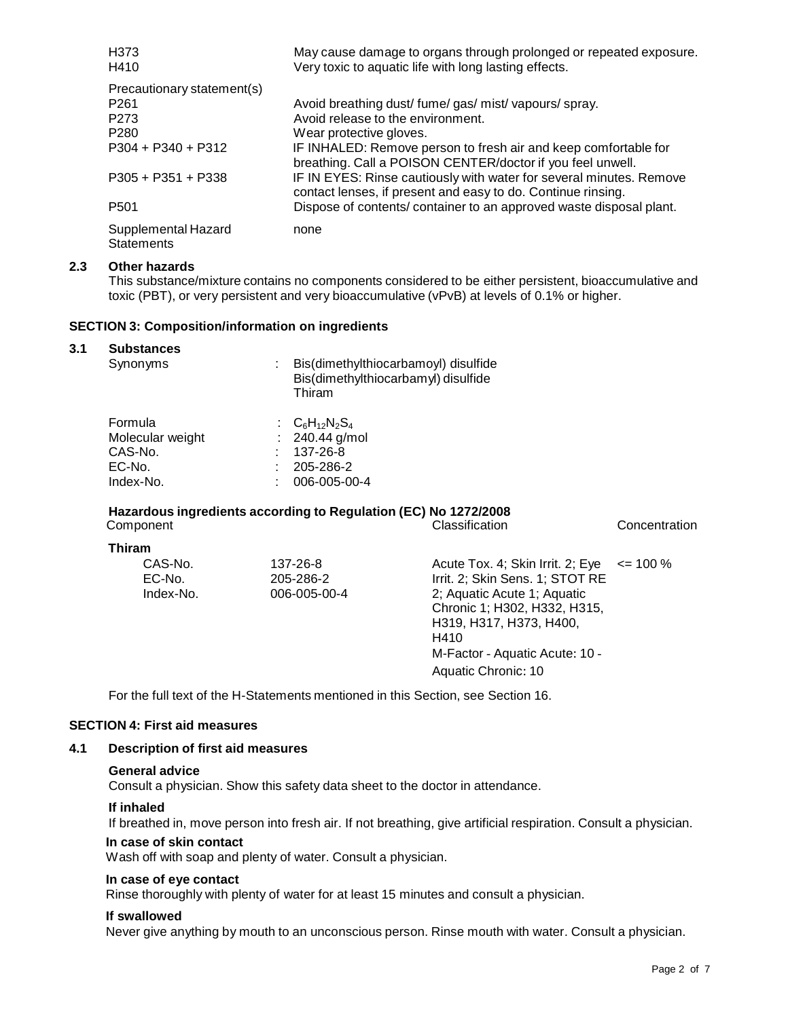| H <sub>3</sub> 73<br>H410                | May cause damage to organs through prolonged or repeated exposure.<br>Very toxic to aquatic life with long lasting effects.         |
|------------------------------------------|-------------------------------------------------------------------------------------------------------------------------------------|
| Precautionary statement(s)               |                                                                                                                                     |
| P <sub>261</sub>                         | Avoid breathing dust/ fume/ gas/ mist/ vapours/ spray.                                                                              |
| P <sub>273</sub>                         | Avoid release to the environment.                                                                                                   |
| P <sub>280</sub>                         | Wear protective gloves.                                                                                                             |
| $P304 + P340 + P312$                     | IF INHALED: Remove person to fresh air and keep comfortable for<br>breathing. Call a POISON CENTER/doctor if you feel unwell.       |
| $P305 + P351 + P338$                     | IF IN EYES: Rinse cautiously with water for several minutes. Remove<br>contact lenses, if present and easy to do. Continue rinsing. |
| P <sub>501</sub>                         | Dispose of contents/ container to an approved waste disposal plant.                                                                 |
| Supplemental Hazard<br><b>Statements</b> | none                                                                                                                                |

## **2.3 Other hazards**

This substance/mixture contains no components considered to be either persistent, bioaccumulative and toxic (PBT), or very persistent and very bioaccumulative (vPvB) at levels of 0.1% or higher.

#### **SECTION 3: Composition/information on ingredients**

#### **3.1 Substances**

| Synonyms                                                      | Bis(dimethylthiocarbamoyl) disulfide<br>Bis(dimethylthiocarbamyl) disulfide<br>Thiram |
|---------------------------------------------------------------|---------------------------------------------------------------------------------------|
| Formula<br>Molecular weight<br>CAS-No.<br>EC-No.<br>Index-No. | : $C_6H_{12}N_2S_4$<br>: $240.44$ g/mol<br>137-26-8<br>205-286-2<br>006-005-00-4      |

# **Hazardous ingredients according to Regulation (EC) No 1272/2008**

| Component                      |                                       | Classification                                                                                                                                                                                                                 | Concentration |
|--------------------------------|---------------------------------------|--------------------------------------------------------------------------------------------------------------------------------------------------------------------------------------------------------------------------------|---------------|
| <b>Thiram</b>                  |                                       |                                                                                                                                                                                                                                |               |
| CAS-No.<br>EC-No.<br>Index-No. | 137-26-8<br>205-286-2<br>006-005-00-4 | Acute Tox. 4; Skin Irrit. 2; Eye<br>Irrit. 2; Skin Sens. 1; STOT RE<br>2; Aquatic Acute 1; Aquatic<br>Chronic 1; H302, H332, H315,<br>H319, H317, H373, H400,<br>H410<br>M-Factor - Aquatic Acute: 10 -<br>Aquatic Chronic: 10 | $\leq$ 100 %  |

For the full text of the H-Statements mentioned in this Section, see Section 16.

## **SECTION 4: First aid measures**

## **4.1 Description of first aid measures**

#### **General advice**

Consult a physician. Show this safety data sheet to the doctor in attendance.

#### **If inhaled**

If breathed in, move person into fresh air. If not breathing, give artificial respiration. Consult a physician.

## **In case of skin contact**

Wash off with soap and plenty of water. Consult a physician.

## **In case of eye contact**

Rinse thoroughly with plenty of water for at least 15 minutes and consult a physician.

#### **If swallowed**

Never give anything by mouth to an unconscious person. Rinse mouth with water. Consult a physician.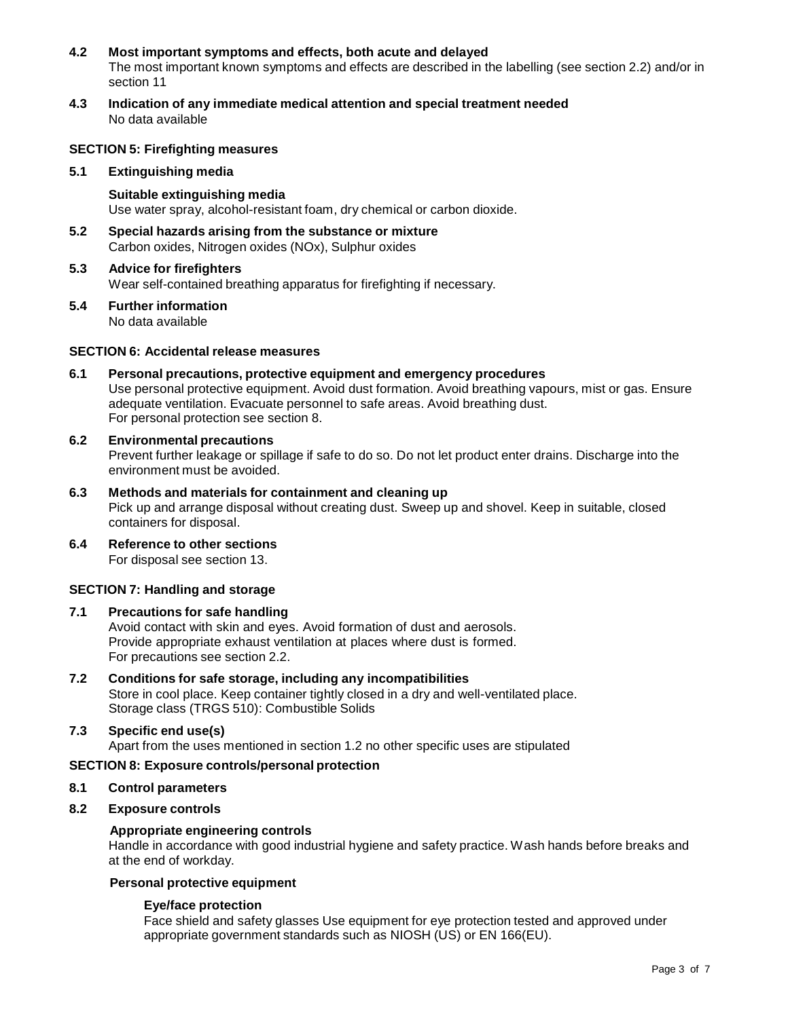## **4.2 Most important symptoms and effects, both acute and delayed** The most important known symptoms and effects are described in the labelling (see section 2.2) and/or in section 11

**4.3 Indication of any immediate medical attention and special treatment needed** No data available

## **SECTION 5: Firefighting measures**

#### **5.1 Extinguishing media**

#### **Suitable extinguishing media** Use water spray, alcohol-resistant foam, dry chemical or carbon dioxide.

**5.2 Special hazards arising from the substance or mixture** Carbon oxides, Nitrogen oxides (NOx), Sulphur oxides

#### **5.3 Advice for firefighters** Wear self-contained breathing apparatus for firefighting if necessary.

#### **5.4 Further information** No data available

## **SECTION 6: Accidental release measures**

**6.1 Personal precautions, protective equipment and emergency procedures** Use personal protective equipment. Avoid dust formation. Avoid breathing vapours, mist or gas. Ensure adequate ventilation. Evacuate personnel to safe areas. Avoid breathing dust. For personal protection see section 8.

#### **6.2 Environmental precautions** Prevent further leakage or spillage if safe to do so. Do not let product enter drains. Discharge into the environment must be avoided.

- **6.3 Methods and materials for containment and cleaning up** Pick up and arrange disposal without creating dust. Sweep up and shovel. Keep in suitable, closed containers for disposal.
- **6.4 Reference to other sections** For disposal see section 13.

## **SECTION 7: Handling and storage**

## **7.1 Precautions for safe handling**

Avoid contact with skin and eyes. Avoid formation of dust and aerosols. Provide appropriate exhaust ventilation at places where dust is formed. For precautions see section 2.2.

## **7.2 Conditions for safe storage, including any incompatibilities** Store in cool place. Keep container tightly closed in a dry and well-ventilated place. Storage class (TRGS 510): Combustible Solids

## **7.3 Specific end use(s)**

Apart from the uses mentioned in section 1.2 no other specific uses are stipulated

## **SECTION 8: Exposure controls/personal protection**

## **8.1 Control parameters**

## **8.2 Exposure controls**

#### **Appropriate engineering controls**

Handle in accordance with good industrial hygiene and safety practice. Wash hands before breaks and at the end of workday.

## **Personal protective equipment**

## **Eye/face protection**

Face shield and safety glasses Use equipment for eye protection tested and approved under appropriate government standards such as NIOSH (US) or EN 166(EU).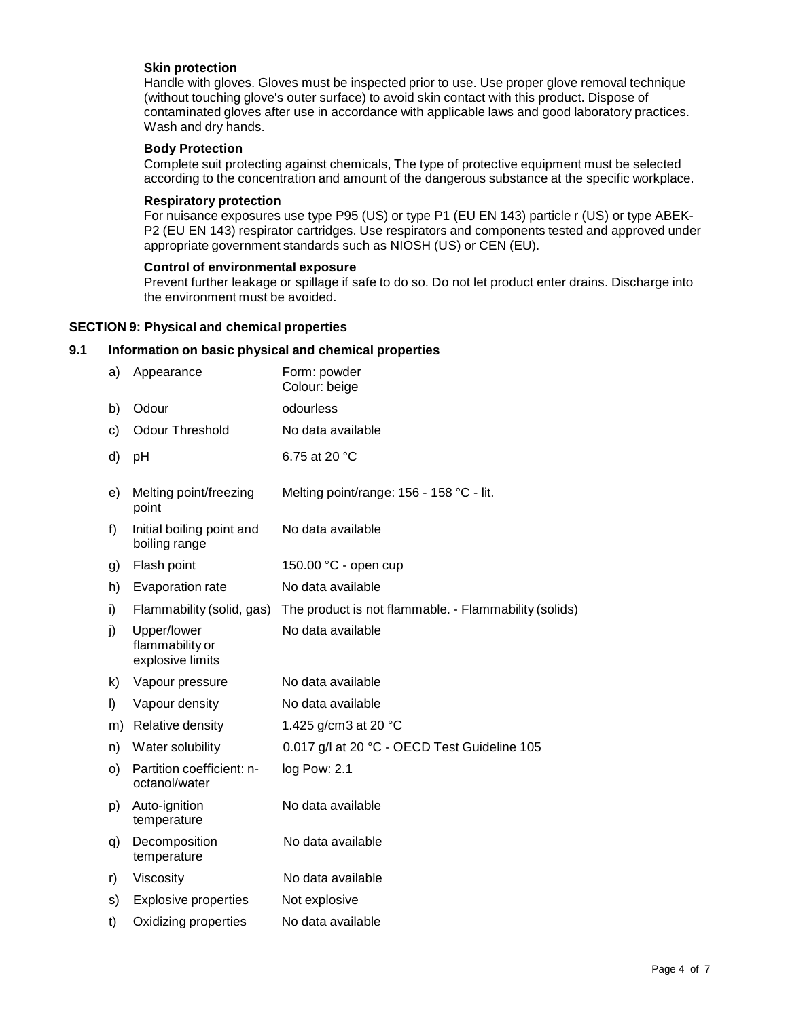## **Skin protection**

Handle with gloves. Gloves must be inspected prior to use. Use proper glove removal technique (without touching glove's outer surface) to avoid skin contact with this product. Dispose of contaminated gloves after use in accordance with applicable laws and good laboratory practices. Wash and dry hands.

#### **Body Protection**

Complete suit protecting against chemicals, The type of protective equipment must be selected according to the concentration and amount of the dangerous substance at the specific workplace.

#### **Respiratory protection**

For nuisance exposures use type P95 (US) or type P1 (EU EN 143) particle r (US) or type ABEK-P2 (EU EN 143) respirator cartridges. Use respirators and components tested and approved under appropriate government standards such as NIOSH (US) or CEN (EU).

#### **Control of environmental exposure**

Prevent further leakage or spillage if safe to do so. Do not let product enter drains. Discharge into the environment must be avoided.

#### **SECTION 9: Physical and chemical properties**

#### **9.1 Information on basic physical and chemical properties**

| a) | Appearance                                         | Form: powder<br>Colour: beige                         |
|----|----------------------------------------------------|-------------------------------------------------------|
| b) | Odour                                              | odourless                                             |
| C) | <b>Odour Threshold</b>                             | No data available                                     |
| d) | pH                                                 | 6.75 at 20 $°C$                                       |
| e) | Melting point/freezing<br>point                    | Melting point/range: 156 - 158 °C - lit.              |
| f) | Initial boiling point and<br>boiling range         | No data available                                     |
| g) | Flash point                                        | 150.00 °C - open cup                                  |
| h) | Evaporation rate                                   | No data available                                     |
| i) | Flammability (solid, gas)                          | The product is not flammable. - Flammability (solids) |
| j) | Upper/lower<br>flammability or<br>explosive limits | No data available                                     |
| k) | Vapour pressure                                    | No data available                                     |
| I) | Vapour density                                     | No data available                                     |
| m) | Relative density                                   | 1.425 g/cm3 at 20 °C                                  |
| n) | Water solubility                                   | 0.017 g/l at 20 °C - OECD Test Guideline 105          |
| O) | Partition coefficient: n-<br>octanol/water         | log Pow: 2.1                                          |
| p) | Auto-ignition<br>temperature                       | No data available                                     |
| q) | Decomposition<br>temperature                       | No data available                                     |
| r) | Viscosity                                          | No data available                                     |
| S) | <b>Explosive properties</b>                        | Not explosive                                         |
| t) | Oxidizing properties                               | No data available                                     |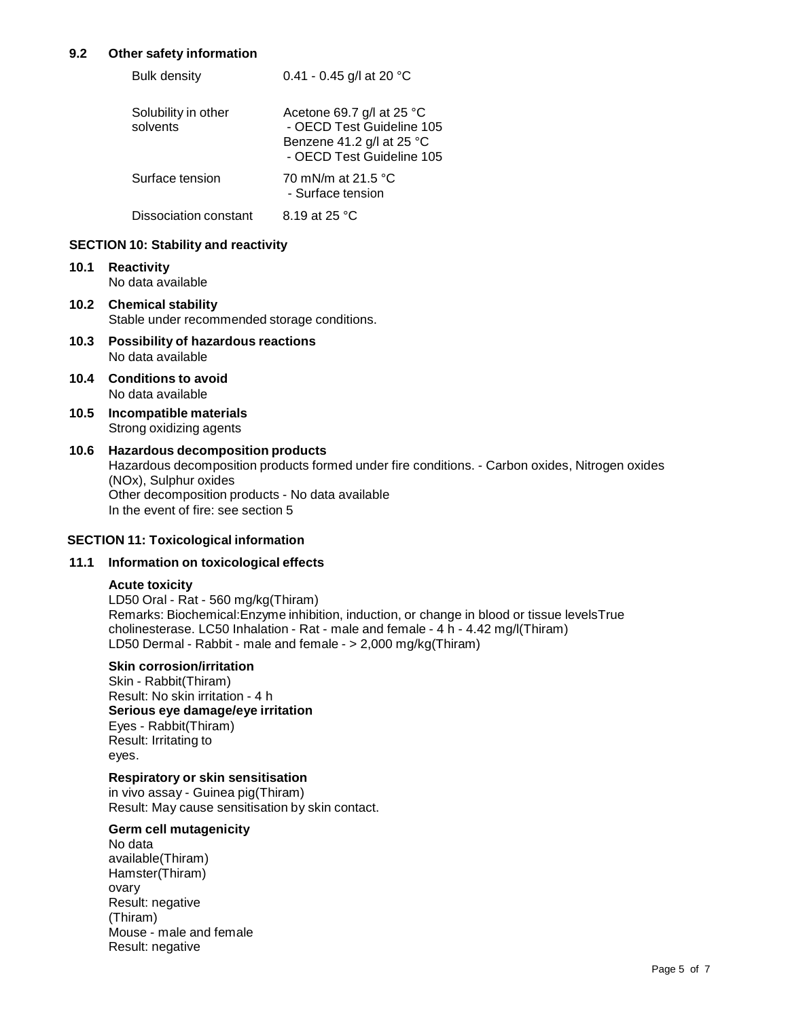## **9.2 Other safety information**

| <b>Bulk density</b>             | 0.41 - 0.45 g/l at 20 $^{\circ}$ C                                                                                         |
|---------------------------------|----------------------------------------------------------------------------------------------------------------------------|
| Solubility in other<br>solvents | Acetone 69.7 g/l at 25 $^{\circ}$ C<br>- OECD Test Guideline 105<br>Benzene 41.2 g/l at 25 °C<br>- OECD Test Guideline 105 |
| Surface tension                 | 70 mN/m at 21.5 °C<br>- Surface tension                                                                                    |
| Dissociation constant           | 8.19 at 25 °C                                                                                                              |

## **SECTION 10: Stability and reactivity**

- **10.1 Reactivity** No data available
- **10.2 Chemical stability** Stable under recommended storage conditions.
- **10.3 Possibility of hazardous reactions** No data available
- **10.4 Conditions to avoid** No data available
- **10.5 Incompatible materials** Strong oxidizing agents

## **10.6 Hazardous decomposition products**

Hazardous decomposition products formed under fire conditions. - Carbon oxides, Nitrogen oxides (NOx), Sulphur oxides Other decomposition products - No data available In the event of fire: see section 5

## **SECTION 11: Toxicological information**

## **11.1 Information on toxicological effects**

#### **Acute toxicity**

LD50 Oral - Rat - 560 mg/kg(Thiram) Remarks: Biochemical:Enzyme inhibition, induction, or change in blood or tissue levelsTrue cholinesterase. LC50 Inhalation - Rat - male and female - 4 h - 4.42 mg/l(Thiram) LD50 Dermal - Rabbit - male and female - > 2,000 mg/kg(Thiram)

#### **Skin corrosion/irritation**

Skin - Rabbit(Thiram) Result: No skin irritation - 4 h **Serious eye damage/eye irritation** Eyes - Rabbit(Thiram) Result: Irritating to eyes.

## **Respiratory or skin sensitisation**

in vivo assay - Guinea pig(Thiram) Result: May cause sensitisation by skin contact.

## **Germ cell mutagenicity**

No data available(Thiram) Hamster(Thiram) ovary Result: negative (Thiram) Mouse - male and female Result: negative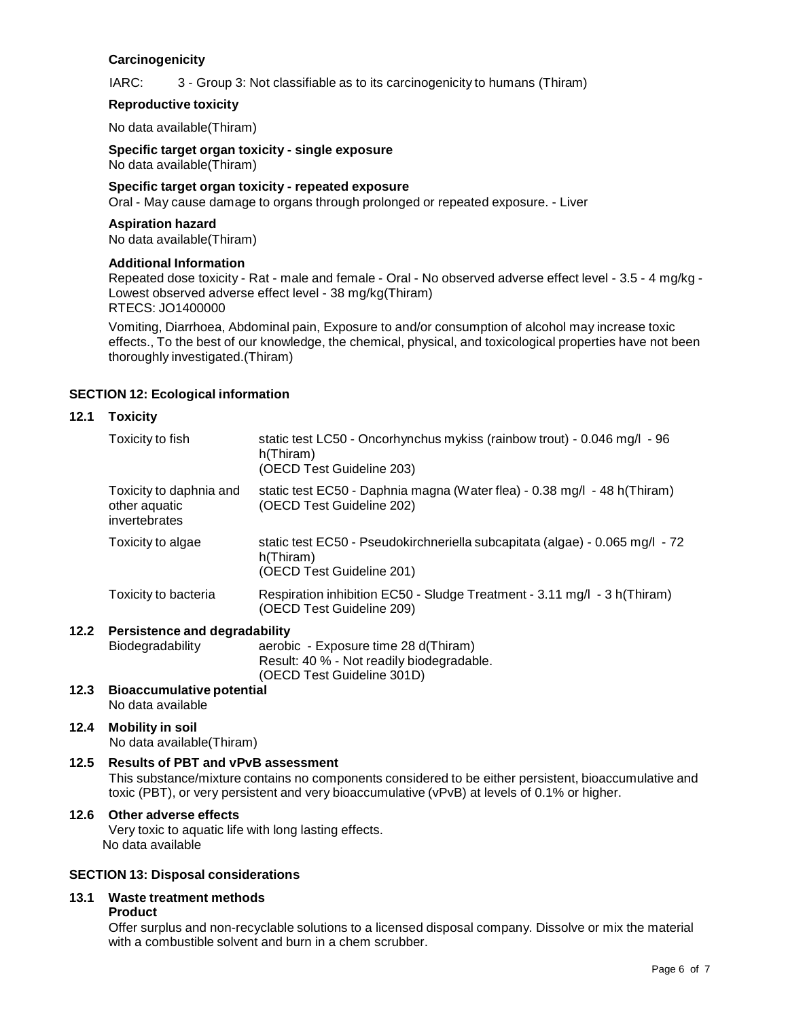## **Carcinogenicity**

IARC: 3 - Group 3: Not classifiable as to its carcinogenicity to humans (Thiram)

## **Reproductive toxicity**

No data available(Thiram)

**Specific target organ toxicity - single exposure** No data available(Thiram)

**Specific target organ toxicity - repeated exposure**

Oral - May cause damage to organs through prolonged or repeated exposure. - Liver

## **Aspiration hazard**

No data available(Thiram)

#### **Additional Information**

Repeated dose toxicity - Rat - male and female - Oral - No observed adverse effect level - 3.5 - 4 mg/kg -Lowest observed adverse effect level - 38 mg/kg(Thiram) RTECS: JO1400000

Vomiting, Diarrhoea, Abdominal pain, Exposure to and/or consumption of alcohol may increase toxic effects., To the best of our knowledge, the chemical, physical, and toxicological properties have not been thoroughly investigated.(Thiram)

## **SECTION 12: Ecological information**

## **12.1 Toxicity**

| Toxicity to fish                                          | static test LC50 - Oncorhynchus mykiss (rainbow trout) - 0.046 mg/l - 96<br>h(Thiram)<br>(OECD Test Guideline 203)     |
|-----------------------------------------------------------|------------------------------------------------------------------------------------------------------------------------|
| Toxicity to daphnia and<br>other aquatic<br>invertebrates | static test EC50 - Daphnia magna (Water flea) - 0.38 mg/l - 48 h(Thiram)<br>(OECD Test Guideline 202)                  |
| Toxicity to algae                                         | static test EC50 - Pseudokirchneriella subcapitata (algae) - 0.065 mg/l - 72<br>h(Thiram)<br>(OECD Test Guideline 201) |
| Toxicity to bacteria                                      | Respiration inhibition EC50 - Sludge Treatment - 3.11 mg/l - 3 h(Thiram)<br>(OECD Test Guideline 209)                  |
|                                                           |                                                                                                                        |

#### **12.2 Persistence and degradability**

Biodegradability aerobic - Exposure time 28 d(Thiram) Result: 40 % - Not readily biodegradable. (OECD Test Guideline 301D)

#### **12.3 Bioaccumulative potential** No data available

## **12.4 Mobility in soil**

No data available(Thiram)

## **12.5 Results of PBT and vPvB assessment**

This substance/mixture contains no components considered to be either persistent, bioaccumulative and toxic (PBT), or very persistent and very bioaccumulative (vPvB) at levels of 0.1% or higher.

## **12.6 Other adverse effects**

Very toxic to aquatic life with long lasting effects. No data available

## **SECTION 13: Disposal considerations**

## **13.1 Waste treatment methods**

#### **Product**

Offer surplus and non-recyclable solutions to a licensed disposal company. Dissolve or mix the material with a combustible solvent and burn in a chem scrubber.